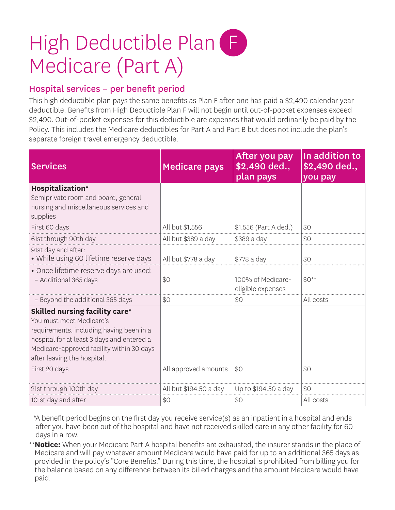# High Deductible Plan F Medicare (Part A)

### Hospital services – per benefit period

This high deductible plan pays the same benefits as Plan F after one has paid a \$2,490 calendar year deductible. Benefits from High Deductible Plan F will not begin until out-of-pocket expenses exceed \$2,490. Out-of-pocket expenses for this deductible are expenses that would ordinarily be paid by the Policy. This includes the Medicare deductibles for Part A and Part B but does not include the plan's separate foreign travel emergency deductible.

| <b>Services</b>                                                                                                                                                                                                                                          | <b>Medicare pays</b>   | After you pay<br>\$2,490 ded.,<br>plan pays | In addition to<br>\$2,490 ded.,<br>you pay |
|----------------------------------------------------------------------------------------------------------------------------------------------------------------------------------------------------------------------------------------------------------|------------------------|---------------------------------------------|--------------------------------------------|
| Hospitalization*<br>Semiprivate room and board, general<br>nursing and miscellaneous services and<br>supplies                                                                                                                                            |                        |                                             |                                            |
| First 60 days                                                                                                                                                                                                                                            | All but \$1,556        | \$1,556 (Part A ded.)                       | \$0                                        |
| 61st through 90th day                                                                                                                                                                                                                                    | All but \$389 a day    | \$389 a day                                 | \$0                                        |
| 91st day and after:<br>• While using 60 lifetime reserve days                                                                                                                                                                                            | All but \$778 a day    | \$778 a day                                 | \$0                                        |
| • Once lifetime reserve days are used:<br>- Additional 365 days                                                                                                                                                                                          | \$0                    | 100% of Medicare-<br>eligible expenses      | $$0**$                                     |
| - Beyond the additional 365 days                                                                                                                                                                                                                         | \$0                    | \$0                                         | All costs                                  |
| <b>Skilled nursing facility care*</b><br>You must meet Medicare's<br>requirements, including having been in a<br>hospital for at least 3 days and entered a<br>Medicare-approved facility within 30 days<br>after leaving the hospital.<br>First 20 days | All approved amounts   | \$0                                         | \$0                                        |
|                                                                                                                                                                                                                                                          |                        |                                             |                                            |
| 21st through 100th day                                                                                                                                                                                                                                   | All but \$194.50 a day | Up to \$194.50 a day                        | \$0                                        |
| 101st day and after                                                                                                                                                                                                                                      | \$0                    | \$0                                         | All costs                                  |

\* A benefit period begins on the first day you receive service(s) as an inpatient in a hospital and ends after you have been out of the hospital and have not received skilled care in any other facility for 60 days in a row.

\*\* **Notice:** When your Medicare Part A hospital benefits are exhausted, the insurer stands in the place of Medicare and will pay whatever amount Medicare would have paid for up to an additional 365 days as provided in the policy's "Core Benefits." During this time, the hospital is prohibited from billing you for the balance based on any difference between its billed charges and the amount Medicare would have paid.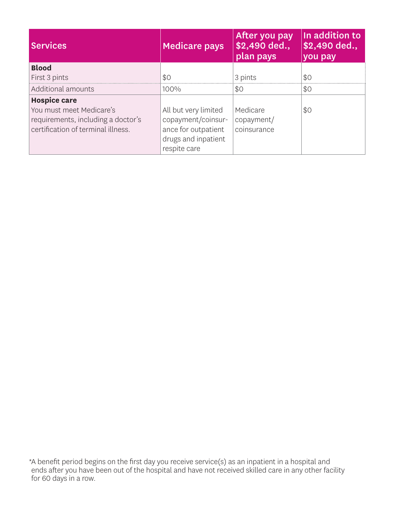| <b>Services</b>                    | <b>Medicare pays</b> | After you pay<br>\$2,490 ded.,<br>plan pays | In addition to<br>\$2,490 ded.,<br>you pay |
|------------------------------------|----------------------|---------------------------------------------|--------------------------------------------|
| <b>Blood</b>                       |                      |                                             |                                            |
| First 3 pints                      | \$0                  | 3 pints                                     | \$0                                        |
| Additional amounts                 | 100%                 | \$0                                         | \$0                                        |
| <b>Hospice care</b>                |                      |                                             |                                            |
| You must meet Medicare's           | All but very limited | Medicare                                    | \$0                                        |
| requirements, including a doctor's | copayment/coinsur-   | copayment/                                  |                                            |
| certification of terminal illness. | ance for outpatient  | coinsurance                                 |                                            |
|                                    | drugs and inpatient  |                                             |                                            |
|                                    | respite care         |                                             |                                            |

\* A benefit period begins on the first day you receive service(s) as an inpatient in a hospital and ends after you have been out of the hospital and have not received skilled care in any other facility for 60 days in a row.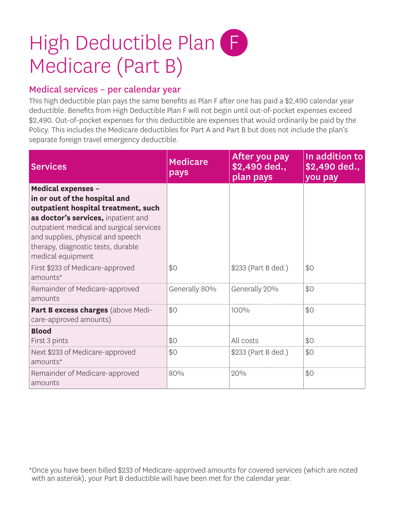## High Deductible Plan F Medicare (Part B)

#### Medical services – per calendar year

This high deductible plan pays the same benefits as Plan F after one has paid a \$2,490 calendar year deductible. Benefits from High Deductible Plan F will not begin until out-of-pocket expenses exceed \$2,490. Out-of-pocket expenses for this deductible are expenses that would ordinarily be paid by the Policy. This includes the Medicare deductibles for Part A and Part B but does not include the plan's separate foreign travel emergency deductible.

| <b>Services</b>                                                                                                                                                                                                                                                                      | <b>Medicare</b><br>pays | After you pay<br>\$2,490 ded.,<br>plan pays | In addition to<br>\$2,490 ded.,<br>you pay |
|--------------------------------------------------------------------------------------------------------------------------------------------------------------------------------------------------------------------------------------------------------------------------------------|-------------------------|---------------------------------------------|--------------------------------------------|
| <b>Medical expenses -</b><br>in or out of the hospital and<br>outpatient hospital treatment, such<br>as doctor's services, inpatient and<br>outpatient medical and surgical services<br>and supplies, physical and speech<br>therapy, diagnostic tests, durable<br>medical equipment |                         |                                             |                                            |
| First \$233 of Medicare-approved<br>amounts*                                                                                                                                                                                                                                         | \$0                     | \$233 (Part B ded.)                         | \$0                                        |
| Remainder of Medicare-approved<br>amounts                                                                                                                                                                                                                                            | Generally 80%           | Generally 20%                               | \$0                                        |
| Part B excess charges (above Medi-<br>care-approved amounts)                                                                                                                                                                                                                         | \$0                     | 100%                                        | \$0                                        |
| <b>Blood</b><br>First 3 pints                                                                                                                                                                                                                                                        | \$0                     | All costs                                   | \$0                                        |
| Next \$233 of Medicare-approved<br>amounts*                                                                                                                                                                                                                                          | \$0                     | \$233 (Part B ded.)                         | \$0                                        |
| Remainder of Medicare-approved<br>amounts                                                                                                                                                                                                                                            | 80%                     | 20%                                         | \$0                                        |

\* Once you have been billed \$233 of Medicare-approved amounts for covered services (which are noted with an asterisk), your Part B deductible will have been met for the calendar year.